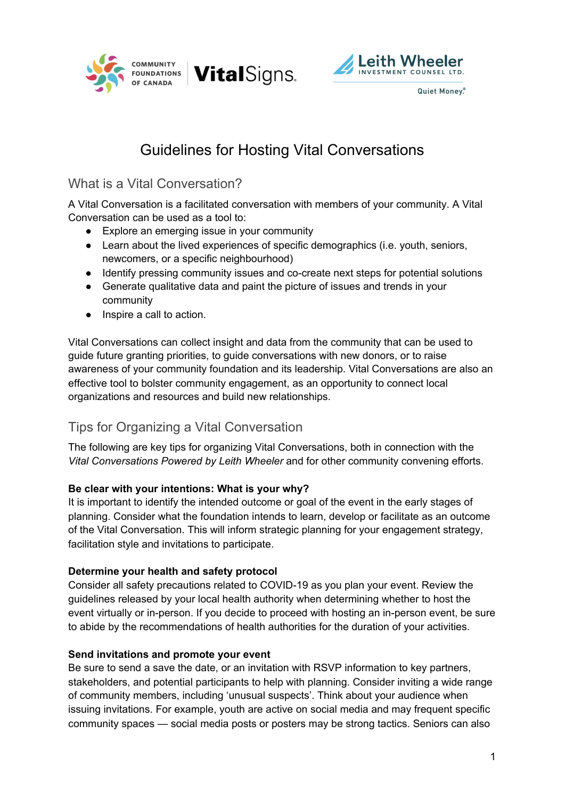





# Guidelines for Hosting Vital Conversations

### What is a Vital Conversation?

A Vital Conversation is a facilitated conversation with members of your community. A Vital Conversation can be used as a tool to:

- Explore an emerging issue in your community
- Learn about the lived experiences of specific demographics (i.e. youth, seniors, newcomers, or a specific neighbourhood)
- Identify pressing community issues and co-create next steps for potential solutions
- Generate qualitative data and paint the picture of issues and trends in your community
- Inspire a call to action.

Vital Conversations can collect insight and data from the community that can be used to guide future granting priorities, to guide conversations with new donors, or to raise awareness of your community foundation and its leadership. Vital Conversations are also an effective tool to bolster community engagement, as an opportunity to connect local organizations and resources and build new relationships.

# Tips for Organizing a Vital Conversation

The following are key tips for organizing Vital Conversations, both in connection with the *Vital Conversations Powered by Leith Wheeler* and for other community convening efforts.

### **Be clear with your intentions: What is your why?**

It is important to identify the intended outcome or goal of the event in the early stages of planning. Consider what the foundation intends to learn, develop or facilitate as an outcome of the Vital Conversation. This will inform strategic planning for your engagement strategy, facilitation style and invitations to participate.

### **Determine your health and safety protocol**

Consider all safety precautions related to COVID-19 as you plan your event. Review the guidelines released by your local health authority when determining whether to host the event virtually or in-person. If you decide to proceed with hosting an in-person event, be sure to abide by the recommendations of health authorities for the duration of your activities.

### **Send invitations and promote your event**

Be sure to send a save the date, or an invitation with RSVP information to key partners, stakeholders, and potential participants to help with planning. Consider inviting a wide range of community members, including 'unusual suspects'. Think about your audience when issuing invitations. For example, youth are active on social media and may frequent specific community spaces — social media posts or posters may be strong tactics. Seniors can also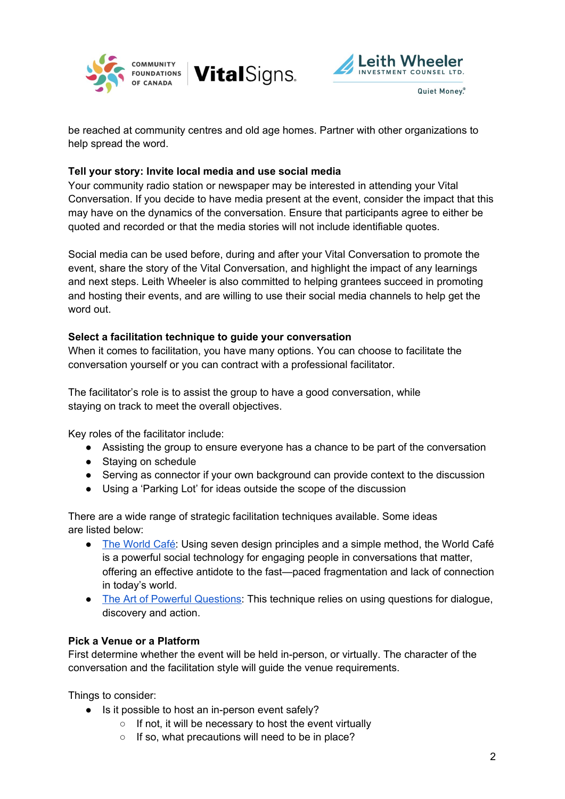



be reached at community centres and old age homes. Partner with other organizations to help spread the word.

**VitalSigns.** 

#### **Tell your story: Invite local media and use social media**

Your community radio station or newspaper may be interested in attending your Vital Conversation. If you decide to have media present at the event, consider the impact that this may have on the dynamics of the conversation. Ensure that participants agree to either be quoted and recorded or that the media stories will not include identifiable quotes.

Social media can be used before, during and after your Vital Conversation to promote the event, share the story of the Vital Conversation, and highlight the impact of any learnings and next steps. Leith Wheeler is also committed to helping grantees succeed in promoting and hosting their events, and are willing to use their social media channels to help get the word out.

#### **Select a facilitation technique to guide your conversation**

When it comes to facilitation, you have many options. You can choose to facilitate the conversation yourself or you can contract with a professional facilitator.

The facilitator's role is to assist the group to have a good conversation, while staying on track to meet the overall objectives.

Key roles of the facilitator include:

- Assisting the group to ensure everyone has a chance to be part of the conversation
- Staying on schedule
- Serving as connector if your own background can provide context to the discussion
- Using a 'Parking Lot' for ideas outside the scope of the discussion

There are a wide range of strategic facilitation techniques available. Some ideas are listed below:

- The [World](http://www.theworldcafe.com/wp-content/uploads/2015/07/Cafe-To-Go-Revised.pdf) Café: Using seven design principles and a simple method, the World Café is a powerful social technology for engaging people in conversations that matter, offering an effective antidote to the fast—paced fragmentation and lack of connection in today's world.
- The Art of Powerful [Questions:](https://umanitoba.ca/admin/human_resources/change/media/the-art-of-powerful-questions.pdf) This technique relies on using questions for dialogue, discovery and action.

### **Pick a Venue or a Platform**

First determine whether the event will be held in-person, or virtually. The character of the conversation and the facilitation style will guide the venue requirements.

Things to consider:

- Is it possible to host an in-person event safely?
	- If not, it will be necessary to host the event virtually
	- If so, what precautions will need to be in place?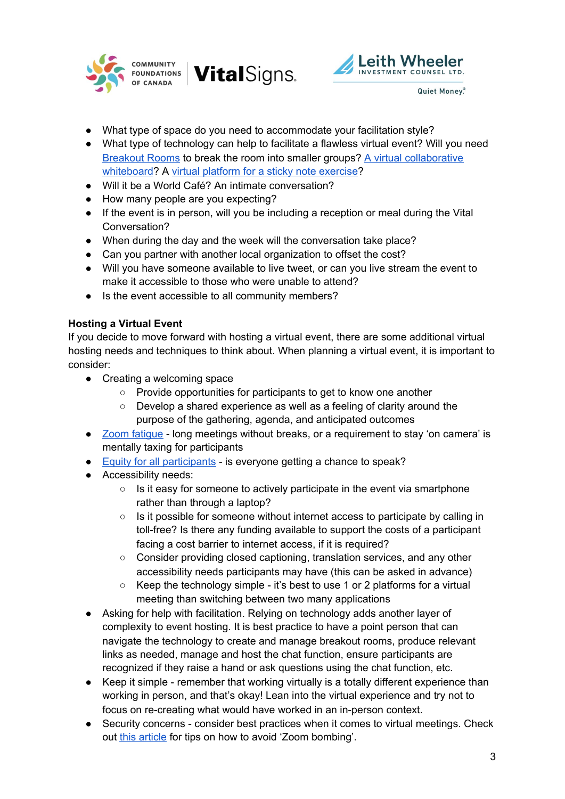





- What type of space do you need to accommodate your facilitation style?
- What type of technology can help to facilitate a flawless virtual event? Will you need [Breakout](https://support.zoom.us/hc/en-us/articles/206476313-Managing-Breakout-Rooms#:~:text=Overview,breakout%20sessions%20as%20they%20please.) Rooms to break the room into smaller groups? A virtual [collaborative](https://jamboard.google.com/) [whiteboard?](https://jamboard.google.com/) A virtual platform for a sticky note [exercise?](https://miro.com/)
- Will it be a World Café? An intimate conversation?
- How many people are you expecting?
- If the event is in person, will you be including a reception or meal during the Vital Conversation?
- When during the day and the week will the conversation take place?
- Can you partner with another local organization to offset the cost?
- Will you have someone available to live tweet, or can you live stream the event to make it accessible to those who were unable to attend?
- Is the event accessible to all community members?

#### **Hosting a Virtual Event**

If you decide to move forward with hosting a virtual event, there are some additional virtual hosting needs and techniques to think about. When planning a virtual event, it is important to consider:

- Creating a welcoming space
	- Provide opportunities for participants to get to know one another
	- Develop a shared experience as well as a feeling of clarity around the purpose of the gathering, agenda, and anticipated outcomes
- Zoom [fatigue](https://www.nationalgeographic.com/science/2020/04/coronavirus-zoom-fatigue-is-taxing-the-brain-here-is-why-that-happens/#close) long meetings without breaks, or a requirement to stay 'on camera' is mentally taxing for participants
- Equity for all [participants](https://nsbs.org/wp-content/uploads/2019/12/Equity-Lens-Toolkit.pdf) is everyone getting a chance to speak?
- Accessibility needs:
	- Is it easy for someone to actively participate in the event via smartphone rather than through a laptop?
	- Is it possible for someone without internet access to participate by calling in toll-free? Is there any funding available to support the costs of a participant facing a cost barrier to internet access, if it is required?
	- Consider providing closed captioning, translation services, and any other accessibility needs participants may have (this can be asked in advance)
	- Keep the technology simple it's best to use 1 or 2 platforms for a virtual meeting than switching between two many applications
- Asking for help with facilitation. Relying on technology adds another layer of complexity to event hosting. It is best practice to have a point person that can navigate the technology to create and manage breakout rooms, produce relevant links as needed, manage and host the chat function, ensure participants are recognized if they raise a hand or ask questions using the chat function, etc.
- Keep it simple remember that working virtually is a totally different experience than working in person, and that's okay! Lean into the virtual experience and try not to focus on re-creating what would have worked in an in-person context.
- Security concerns consider best practices when it comes to virtual meetings. Check out this [article](https://www.pcmag.com/how-to/how-to-prevent-zoom-bombing) for tips on how to avoid 'Zoom bombing'.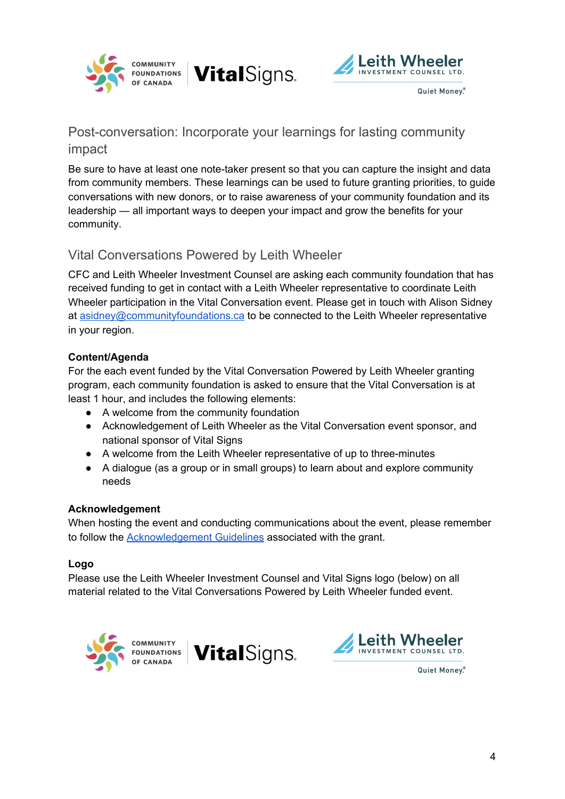



# Post-conversation: Incorporate your learnings for lasting community impact

**VitalSigns.** 

Be sure to have at least one note-taker present so that you can capture the insight and data from community members. These learnings can be used to future granting priorities, to guide conversations with new donors, or to raise awareness of your community foundation and its leadership — all important ways to deepen your impact and grow the benefits for your community.

### Vital Conversations Powered by Leith Wheeler

CFC and Leith Wheeler Investment Counsel are asking each community foundation that has received funding to get in contact with a Leith Wheeler representative to coordinate Leith Wheeler participation in the Vital Conversation event. Please get in touch with Alison Sidney at [asidney@communityfoundations.ca](mailto:asidney@communityfoundations.ca) to be connected to the Leith Wheeler representative in your region.

### **Content/Agenda**

For the each event funded by the Vital Conversation Powered by Leith Wheeler granting program, each community foundation is asked to ensure that the Vital Conversation is at least 1 hour, and includes the following elements:

- A welcome from the community foundation
- Acknowledgement of Leith Wheeler as the Vital Conversation event sponsor, and national sponsor of Vital Signs
- A welcome from the Leith Wheeler representative of up to three-minutes
- A dialogue (as a group or in small groups) to learn about and explore community needs

### **Acknowledgement**

When hosting the event and conducting communications about the event, please remember to follow the [Acknowledgement](https://docs.google.com/document/d/1HbaDyqNYGLv-DGXdGICgZ6XeJYbf1miB2kOp5Y8jSts/edit?usp=sharing) Guidelines associated with the grant.

### **Logo**

Please use the Leith Wheeler Investment Counsel and Vital Signs logo (below) on all material related to the Vital Conversations Powered by Leith Wheeler funded event.





Quiet Money.